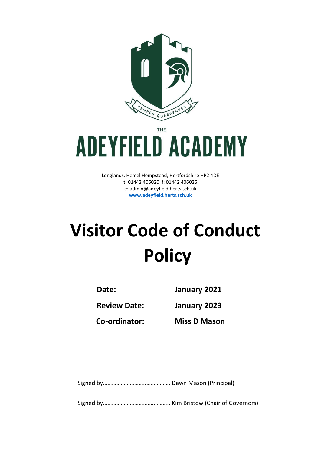

THE

## **ADEYFIELD ACADEMY**

Longlands, Hemel Hempstead, Hertfordshire HP2 4DE t: 01442 406020 f: 01442 406025 e: [admin@adeyfield.herts.sch.uk](mailto:admin@adeyfield.herts.sch.uk) **[www.adeyfield.herts.sch.uk](http://www.adeyfield.herts.sch.uk/)**

## **Visitor Code of Conduct Policy**

**Date: January 2021**

**Review Date: January 2023**

**Co-ordinator: Miss D Mason**

Signed by………………………..……………. Dawn Mason (Principal)

Signed by……………………….…………….. Kim Bristow (Chair of Governors)